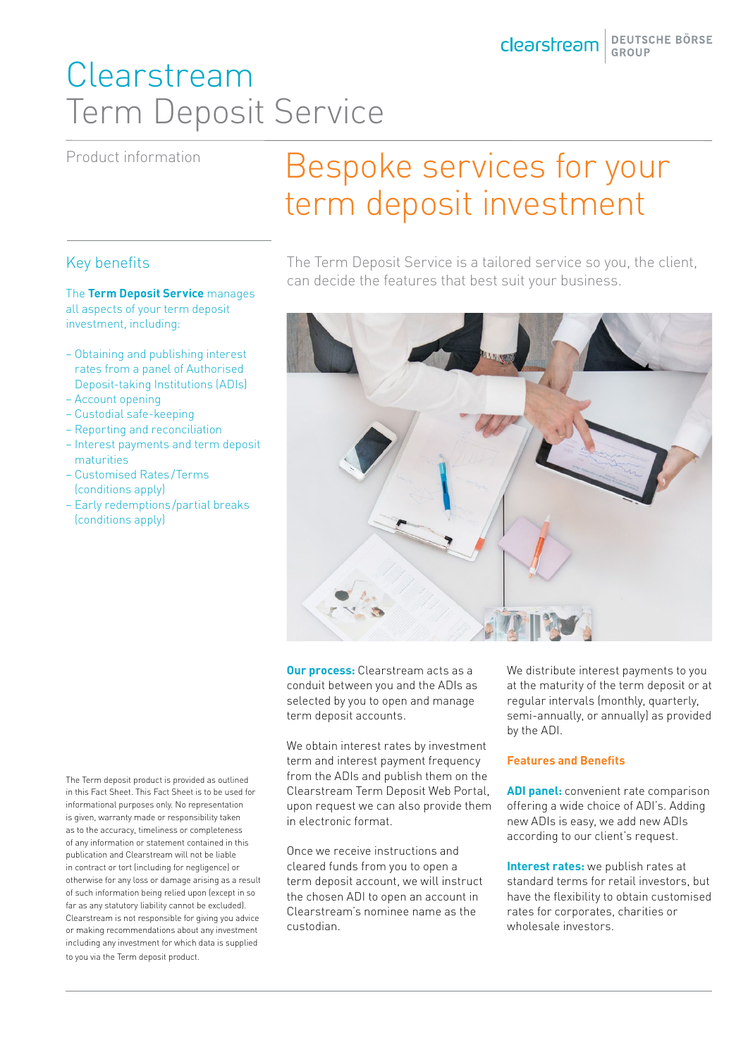## Clearstream Term Deposit Service

Product information

# Bespoke services for your term deposit investment

The Term Deposit Service is a tailored service so you, the client, can decide the features that best suit your business.



**Our process:** Clearstream acts as a conduit between you and the ADIs as selected by you to open and manage term deposit accounts.

We obtain interest rates by investment term and interest payment frequency from the ADIs and publish them on the Clearstream Term Deposit Web Portal, upon request we can also provide them in electronic format.

Once we receive instructions and cleared funds from you to open a term deposit account, we will instruct the chosen ADI to open an account in Clearstream's nominee name as the custodian.

We distribute interest payments to you at the maturity of the term deposit or at regular intervals (monthly, quarterly, semi-annually, or annually) as provided by the ADI.

### **Features and Benefits**

**ADI panel:** convenient rate comparison offering a wide choice of ADI's. Adding new ADIs is easy, we add new ADIs according to our client's request.

**Interest rates:** we publish rates at standard terms for retail investors, but have the flexibility to obtain customised rates for corporates, charities or wholesale investors.

The Term deposit product is provided as outlined in this Fact Sheet. This Fact Sheet is to be used for informational purposes only. No representation is given, warranty made or responsibility taken as to the accuracy, timeliness or completeness of any information or statement contained in this publication and Clearstream will not be liable in contract or tort (including for negligence) or otherwise for any loss or damage arising as a result of such information being relied upon (except in so far as any statutory liability cannot be excluded). Clearstream is not responsible for giving you advice or making recommendations about any investment including any investment for which data is supplied to you via the Term deposit product.

### Key benefits

The **Term Deposit Service** manages all aspects of your term deposit investment, including:

- Obtaining and publishing interest rates from a panel of Authorised Deposit-taking Institutions (ADIs)
- Account opening
- Custodial safe-keeping
- Reporting and reconciliation
- Interest payments and term deposit maturities
- Customised Rates /Terms (conditions apply)
- Early redemptions/partial breaks (conditions apply)